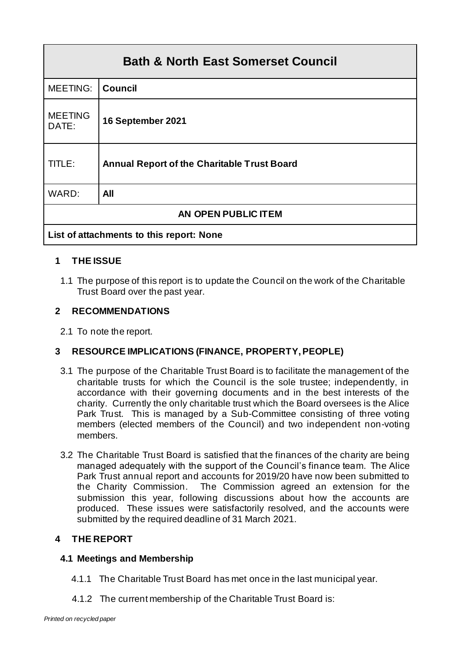| <b>Bath &amp; North East Somerset Council</b> |                                                    |  |
|-----------------------------------------------|----------------------------------------------------|--|
| MEETING:                                      | <b>Council</b>                                     |  |
| <b>MEETING</b><br>DATE:                       | 16 September 2021                                  |  |
| TITLE:                                        | <b>Annual Report of the Charitable Trust Board</b> |  |
| WARD:                                         | All                                                |  |
| AN OPEN PUBLIC ITEM                           |                                                    |  |
| List of attachments to this report: None      |                                                    |  |

# **1 THE ISSUE**

1.1 The purpose of this report is to update the Council on the work of the Charitable Trust Board over the past year.

# **2 RECOMMENDATIONS**

2.1 To note the report.

# **3 RESOURCE IMPLICATIONS (FINANCE, PROPERTY, PEOPLE)**

- 3.1 The purpose of the Charitable Trust Board is to facilitate the management of the charitable trusts for which the Council is the sole trustee; independently, in accordance with their governing documents and in the best interests of the charity. Currently the only charitable trust which the Board oversees is the Alice Park Trust. This is managed by a Sub-Committee consisting of three voting members (elected members of the Council) and two independent non-voting members.
- 3.2 The Charitable Trust Board is satisfied that the finances of the charity are being managed adequately with the support of the Council's finance team. The Alice Park Trust annual report and accounts for 2019/20 have now been submitted to the Charity Commission. The Commission agreed an extension for the submission this year, following discussions about how the accounts are produced. These issues were satisfactorily resolved, and the accounts were submitted by the required deadline of 31 March 2021.

### **4 THE REPORT**

### **4.1 Meetings and Membership**

- 4.1.1 The Charitable Trust Board has met once in the last municipal year.
- 4.1.2 The current membership of the Charitable Trust Board is: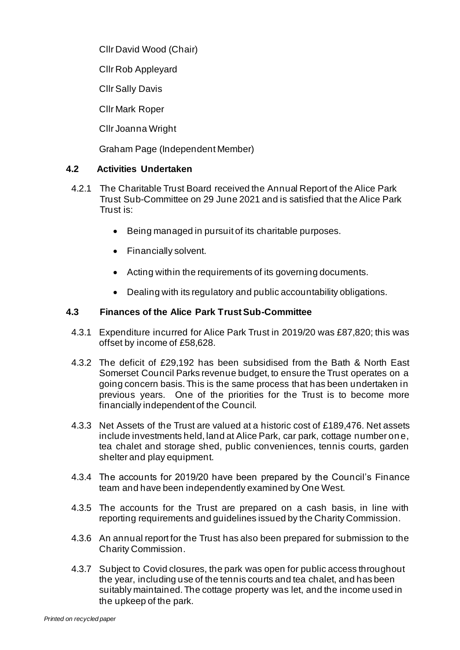Cllr David Wood (Chair)

Cllr Rob Appleyard

Cllr Sally Davis

Cllr Mark Roper

Cllr Joanna Wright

Graham Page (Independent Member)

# **4.2 Activities Undertaken**

- 4.2.1 The Charitable Trust Board received the Annual Report of the Alice Park Trust Sub-Committee on 29 June 2021 and is satisfied that the Alice Park Trust is:
	- Being managed in pursuit of its charitable purposes.
	- Financially solvent.
	- Acting within the requirements of its governing documents.
	- Dealing with its regulatory and public accountability obligations.

# **4.3 Finances of the Alice Park Trust Sub-Committee**

- 4.3.1 Expenditure incurred for Alice Park Trust in 2019/20 was £87,820; this was offset by income of £58,628.
- 4.3.2 The deficit of £29,192 has been subsidised from the Bath & North East Somerset Council Parks revenue budget, to ensure the Trust operates on a going concern basis. This is the same process that has been undertaken in previous years. One of the priorities for the Trust is to become more financially independent of the Council.
- 4.3.3 Net Assets of the Trust are valued at a historic cost of £189,476. Net assets include investments held, land at Alice Park, car park, cottage number one, tea chalet and storage shed, public conveniences, tennis courts, garden shelter and play equipment.
- 4.3.4 The accounts for 2019/20 have been prepared by the Council's Finance team and have been independently examined by One West.
- 4.3.5 The accounts for the Trust are prepared on a cash basis, in line with reporting requirements and guidelines issued by the Charity Commission.
- 4.3.6 An annual report for the Trust has also been prepared for submission to the Charity Commission.
- 4.3.7 Subject to Covid closures, the park was open for public access throughout the year, including use of the tennis courts and tea chalet, and has been suitably maintained. The cottage property was let, and the income used in the upkeep of the park.